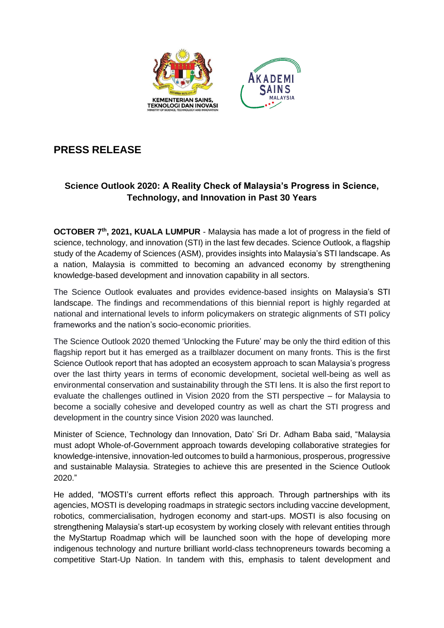

## **PRESS RELEASE**

## **Science Outlook 2020: A Reality Check of Malaysia's Progress in Science, Technology, and Innovation in Past 30 Years**

**OCTOBER 7<sup>th</sup>, 2021, KUALA LUMPUR** - Malaysia has made a lot of progress in the field of science, technology, and innovation (STI) in the last few decades. Science Outlook, a flagship study of the Academy of Sciences (ASM), provides insights into Malaysia's STI landscape. As a nation, Malaysia is committed to becoming an advanced economy by strengthening knowledge-based development and innovation capability in all sectors.

The Science Outlook evaluates and provides evidence-based insights on Malaysia's STI landscape. The findings and recommendations of this biennial report is highly regarded at national and international levels to inform policymakers on strategic alignments of STI policy frameworks and the nation's socio-economic priorities.

The Science Outlook 2020 themed 'Unlocking the Future' may be only the third edition of this flagship report but it has emerged as a trailblazer document on many fronts. This is the first Science Outlook report that has adopted an ecosystem approach to scan Malaysia's progress over the last thirty years in terms of economic development, societal well-being as well as environmental conservation and sustainability through the STI lens. It is also the first report to evaluate the challenges outlined in Vision 2020 from the STI perspective – for Malaysia to become a socially cohesive and developed country as well as chart the STI progress and development in the country since Vision 2020 was launched.

Minister of Science, Technology dan Innovation, Dato' Sri Dr. Adham Baba said, "Malaysia must adopt Whole-of-Government approach towards developing collaborative strategies for knowledge-intensive, innovation-led outcomes to build a harmonious, prosperous, progressive and sustainable Malaysia. Strategies to achieve this are presented in the Science Outlook 2020."

He added, "MOSTI's current efforts reflect this approach. Through partnerships with its agencies, MOSTI is developing roadmaps in strategic sectors including vaccine development, robotics, commercialisation, hydrogen economy and start-ups. MOSTI is also focusing on strengthening Malaysia's start-up ecosystem by working closely with relevant entities through the MyStartup Roadmap which will be launched soon with the hope of developing more indigenous technology and nurture brilliant world-class technopreneurs towards becoming a competitive Start-Up Nation. In tandem with this, emphasis to talent development and